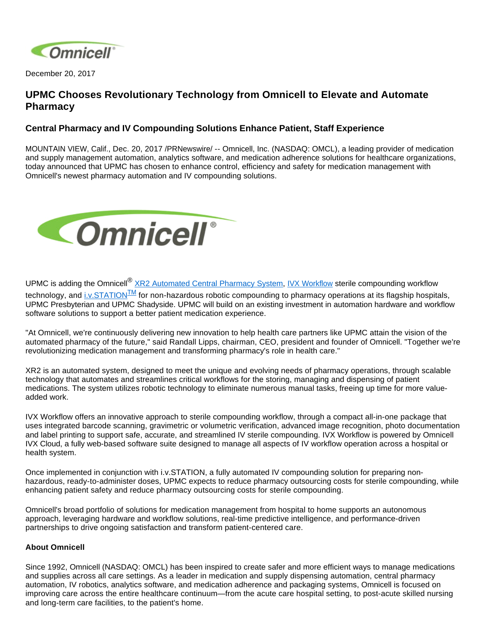

December 20, 2017

## **UPMC Chooses Revolutionary Technology from Omnicell to Elevate and Automate Pharmacy**

## **Central Pharmacy and IV Compounding Solutions Enhance Patient, Staff Experience**

MOUNTAIN VIEW, Calif., Dec. 20, 2017 /PRNewswire/ -- Omnicell, Inc. (NASDAQ: OMCL), a leading provider of medication and supply management automation, analytics software, and medication adherence solutions for healthcare organizations, today announced that UPMC has chosen to enhance control, efficiency and safety for medication management with Omnicell's newest pharmacy automation and IV compounding solutions.



UPMC is adding the Omnicell<sup>®</sup> [XR2 Automated Central Pharmacy System](https://www.omnicell.com/xr2), [IVX Workflow](https://www.omnicell.com/Products/IV_Solutions/IVX_Workflow.aspx) sterile compounding workflow technology, and [i.v.STATION](https://www.omnicell.com/Products/IV_Solutions/ivSTATION_Non-Hazardous_Compounding_Robot.aspx)<sup>TM</sup> for non-hazardous robotic compounding to pharmacy operations at its flagship hospitals, UPMC Presbyterian and UPMC Shadyside. UPMC will build on an existing investment in automation hardware and workflow software solutions to support a better patient medication experience.

"At Omnicell, we're continuously delivering new innovation to help health care partners like UPMC attain the vision of the automated pharmacy of the future," said Randall Lipps, chairman, CEO, president and founder of Omnicell. "Together we're revolutionizing medication management and transforming pharmacy's role in health care."

XR2 is an automated system, designed to meet the unique and evolving needs of pharmacy operations, through scalable technology that automates and streamlines critical workflows for the storing, managing and dispensing of patient medications. The system utilizes robotic technology to eliminate numerous manual tasks, freeing up time for more valueadded work.

IVX Workflow offers an innovative approach to sterile compounding workflow, through a compact all-in-one package that uses integrated barcode scanning, gravimetric or volumetric verification, advanced image recognition, photo documentation and label printing to support safe, accurate, and streamlined IV sterile compounding. IVX Workflow is powered by Omnicell IVX Cloud, a fully web-based software suite designed to manage all aspects of IV workflow operation across a hospital or health system.

Once implemented in conjunction with i.v.STATION, a fully automated IV compounding solution for preparing nonhazardous, ready-to-administer doses, UPMC expects to reduce pharmacy outsourcing costs for sterile compounding, while enhancing patient safety and reduce pharmacy outsourcing costs for sterile compounding.

Omnicell's broad portfolio of solutions for medication management from hospital to home supports an autonomous approach, leveraging hardware and workflow solutions, real-time predictive intelligence, and performance-driven partnerships to drive ongoing satisfaction and transform patient-centered care.

## **About Omnicell**

Since 1992, Omnicell (NASDAQ: OMCL) has been inspired to create safer and more efficient ways to manage medications and supplies across all care settings. As a leader in medication and supply dispensing automation, central pharmacy automation, IV robotics, analytics software, and medication adherence and packaging systems, Omnicell is focused on improving care across the entire healthcare continuum—from the acute care hospital setting, to post-acute skilled nursing and long-term care facilities, to the patient's home.